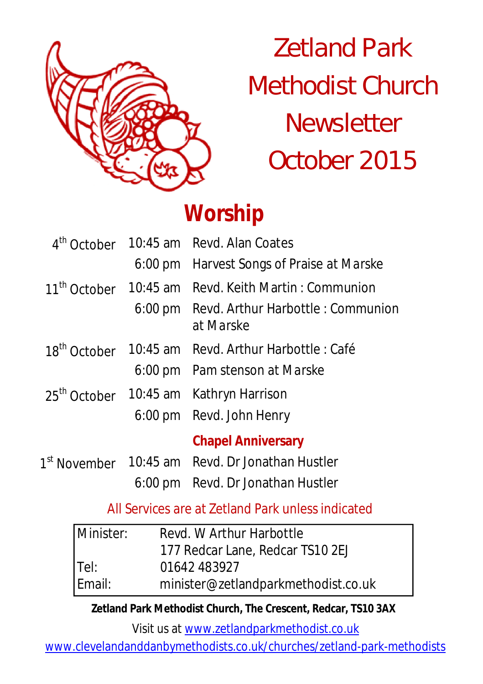

Zetland Park Methodist Church **Newsletter** October 2015

# **Worship**

|                          | 4 <sup>th</sup> October 10:45 am Revd. Alan Coates              |  |
|--------------------------|-----------------------------------------------------------------|--|
|                          | 6:00 pm Harvest Songs of Praise at Marske                       |  |
|                          | 11 <sup>th</sup> October 10:45 am Revd. Keith Martin: Communion |  |
|                          | 6:00 pm Revd. Arthur Harbottle : Communion<br>at Marske         |  |
| 18 <sup>th</sup> October | 10:45 am Revd. Arthur Harbottle : Café                          |  |
|                          | 6:00 pm Pam stenson at Marske                                   |  |
|                          | 25 <sup>th</sup> October 10:45 am Kathryn Harrison              |  |
|                          | 6:00 pm Revd. John Henry                                        |  |
|                          | <b>Chapel Anniversary</b>                                       |  |
|                          | 1 <sup>st</sup> November 10:45 am Revd. Dr Jonathan Hustler     |  |
|                          | 6:00 pm Revd. Dr Jonathan Hustler                               |  |

All Services are at Zetland Park unless indicated

| Minister: | Revd. W Arthur Harbottle            |  |  |
|-----------|-------------------------------------|--|--|
|           | 177 Redcar Lane, Redcar TS10 2EJ    |  |  |
| $ $ Tel:  | 01642 483927                        |  |  |
| Email:    | minister@zetlandparkmethodist.co.uk |  |  |

**Zetland Park Methodist Church, The Crescent, Redcar, TS10 3AX**

Visit us at www.zetlandparkmethodist.co.uk

www.clevelandanddanbymethodists.co.uk/churches/zetland-park-methodists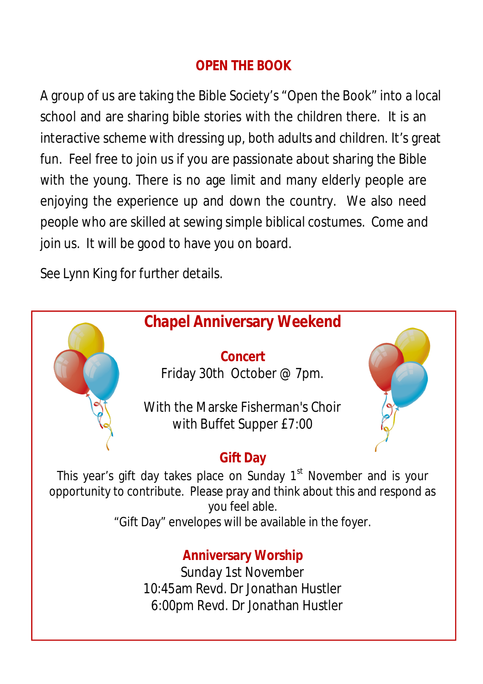## **OPEN THE BOOK**

A group of us are taking the Bible Society's "Open the Book" into a local school and are sharing bible stories with the children there. It is an interactive scheme with dressing up, both adults and children. It's great fun. Feel free to join us if you are passionate about sharing the Bible with the young. There is no age limit and many elderly people are enjoying the experience up and down the country. We also need people who are skilled at sewing simple biblical costumes. Come and join us. It will be good to have you on board.

See Lynn King for further details.

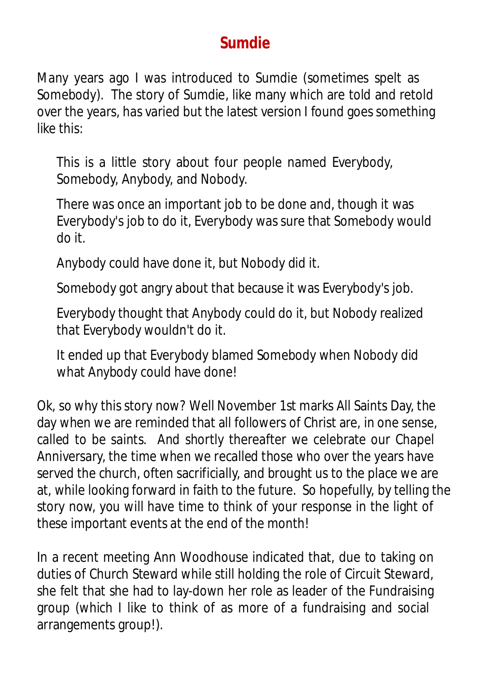# **Sumdie**

Many years ago I was introduced to Sumdie (sometimes spelt as Somebody). The story of Sumdie, like many which are told and retold over the years, has varied but the latest version I found goes something like this:

This is a little story about four people named Everybody, Somebody, Anybody, and Nobody.

There was once an important job to be done and, though it was Everybody's job to do it, Everybody was sure that Somebody would do it.

Anybody could have done it, but Nobody did it.

Somebody got angry about that because it was Everybody's job.

Everybody thought that Anybody could do it, but Nobody realized that Everybody wouldn't do it.

It ended up that Everybody blamed Somebody when Nobody did what Anybody could have done!

Ok, so why this story now? Well November 1st marks All Saints Day, the day when we are reminded that all followers of Christ are, in one sense, called to be saints. And shortly thereafter we celebrate our Chapel Anniversary, the time when we recalled those who over the years have served the church, often sacrificially, and brought us to the place we are at, while looking forward in faith to the future. So hopefully, by telling the story now, you will have time to think of your response in the light of these important events at the end of the month!

In a recent meeting Ann Woodhouse indicated that, due to taking on duties of Church Steward while still holding the role of Circuit Steward, she felt that she had to lay-down her role as leader of the Fundraising group (which I like to think of as more of a fundraising and social arrangements group!).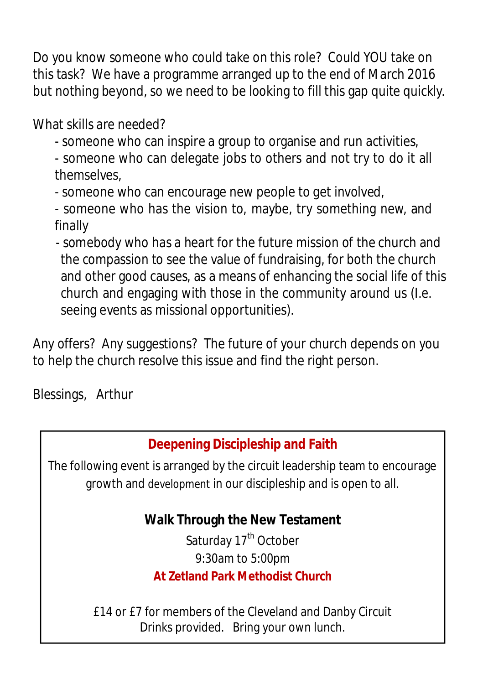Do you know someone who could take on this role? Could YOU take on this task? We have a programme arranged up to the end of March 2016 but nothing beyond, so we need to be looking to fill this gap quite quickly.

What skills are needed?

- someone who can inspire a group to organise and run activities,
- someone who can delegate jobs to others and not try to do it all themselves,
- someone who can encourage new people to get involved,
- someone who has the vision to, maybe, try something new, and finally
- somebody who has a heart for the future mission of the church and the compassion to see the value of fundraising, for both the church and other good causes, as a means of enhancing the social life of this church and engaging with those in the community around us (I.e. seeing events as missional opportunities).

Any offers? Any suggestions? The future of your church depends on you to help the church resolve this issue and find the right person.

Blessings, Arthur

# **Deepening Discipleship and Faith**

The following event is arranged by the circuit leadership team to encourage growth and development in our discipleship and is open to all.

## **Walk Through the New Testament**

Saturday 17<sup>th</sup> October 9:30am to 5:00pm **At Zetland Park Methodist Church**

£14 or £7 for members of the Cleveland and Danby Circuit Drinks provided. Bring your own lunch.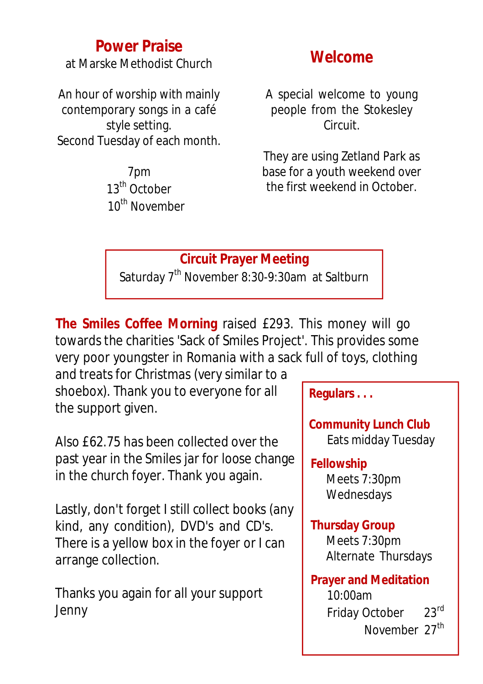## **Power Praise**

at Marske Methodist Church

An hour of worship with mainly contemporary songs in a café style setting. Second Tuesday of each month.

> 7pm 13<sup>th</sup> October 10<sup>th</sup> November

## **Welcome**

A special welcome to young people from the Stokesley Circuit.

They are using Zetland Park as base for a youth weekend over the first weekend in October.

## **Circuit Prayer Meeting**

Saturday 7<sup>th</sup> November 8:30-9:30am at Saltburn

**The Smiles Coffee Morning** raised £293. This money will go towards the charities 'Sack of Smiles Project'. This provides some very poor youngster in Romania with a sack full of toys, clothing

and treats for Christmas (very similar to a shoebox). Thank you to everyone for all the support given.

Also £62.75 has been collected over the past year in the Smiles jar for loose change in the church foyer. Thank you again.

Lastly, don't forget I still collect books (any kind, any condition), DVD's and CD's. There is a yellow box in the foyer or I can arrange collection.

Thanks you again for all your support Jenny

**Regulars . . .**

**Community Lunch Club** Eats midday Tuesday

## **Fellowship**

Meets 7:30pm Wednesdays

#### **Thursday Group**

Meets 7:30pm Alternate Thursdays

**Prayer and Meditation**  10:00am Friday October 23rd November 27<sup>th</sup>